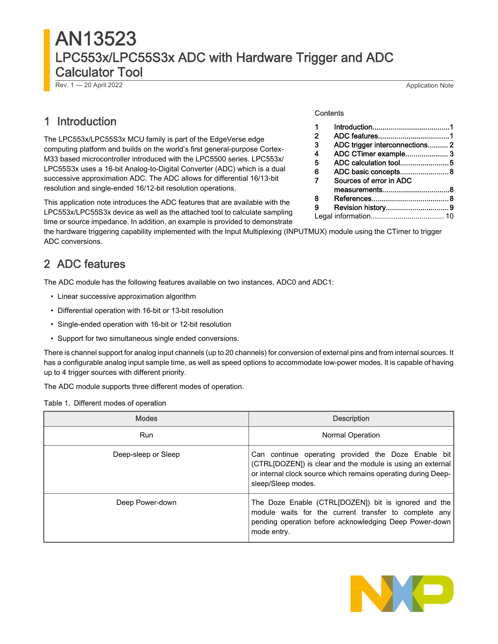# AN13523 LPC553x/LPC55S3x ADC with Hardware Trigger and ADC Calculator Tool

Rev. 1 - 20 April 2022 Application Note

## 1 Introduction

The LPC553x/LPC55S3x MCU family is part of the EdgeVerse edge computing platform and builds on the world's first general-purpose Cortex-M33 based microcontroller introduced with the LPC5500 series. LPC553x/ LPC55S3x uses a 16-bit Analog-to-Digital Converter (ADC) which is a dual successive approximation ADC. The ADC allows for differential 16/13-bit resolution and single-ended 16/12-bit resolution operations.

This application note introduces the ADC features that are available with the LPC553x/LPC55S3x device as well as the attached tool to calculate sampling time or source impedance. In addition, an example is provided to demonstrate

the hardware triggering capability implemented with the Input Multiplexing (INPUTMUX) module using the CTimer to trigger ADC conversions.

## 2 ADC features

The ADC module has the following features available on two instances, ADC0 and ADC1:

- Linear successive approximation algorithm
- Differential operation with 16-bit or 13-bit resolution
- Single-ended operation with 16-bit or 12-bit resolution
- Support for two simultaneous single ended conversions.

There is channel support for analog input channels (up to 20 channels) for conversion of external pins and from internal sources. It has a configurable analog input sample time, as well as speed options to accommodate low-power modes. It is capable of having up to 4 trigger sources with different priority.

The ADC module supports three different modes of operation.

#### Table 1. Different modes of operation

| <b>Modes</b>        | <b>Description</b>                                                                                                                                                                                       |  |  |  |
|---------------------|----------------------------------------------------------------------------------------------------------------------------------------------------------------------------------------------------------|--|--|--|
| <b>Run</b>          | Normal Operation                                                                                                                                                                                         |  |  |  |
| Deep-sleep or Sleep | Can continue operating provided the Doze Enable bit<br>(CTRL[DOZEN]) is clear and the module is using an external<br>or internal clock source which remains operating during Deep-<br>sleep/Sleep modes. |  |  |  |
| Deep Power-down     | The Doze Enable (CTRL[DOZEN]) bit is ignored and the<br>module waits for the current transfer to complete any<br>pending operation before acknowledging Deep Power-down<br>mode entry.                   |  |  |  |



#### **Contents**

| 1              |                                |  |
|----------------|--------------------------------|--|
| $\overline{2}$ |                                |  |
| 3              | ADC trigger interconnections 2 |  |
| 4              | ADC CTimer example 3           |  |
| 5              | ADC calculation tool5          |  |
| 6              | ADC basic concepts8            |  |
| 7              | Sources of error in ADC        |  |
|                |                                |  |
| 8              |                                |  |
| 9              |                                |  |
|                |                                |  |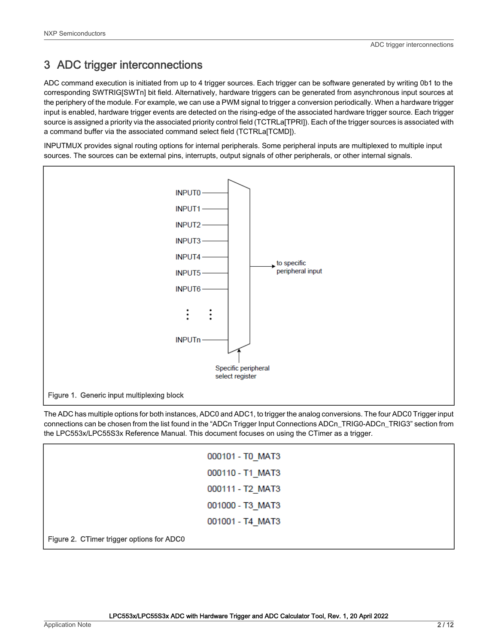## <span id="page-1-0"></span>3 ADC trigger interconnections

ADC command execution is initiated from up to 4 trigger sources. Each trigger can be software generated by writing 0b1 to the corresponding SWTRIG[SWTn] bit field. Alternatively, hardware triggers can be generated from asynchronous input sources at the periphery of the module. For example, we can use a PWM signal to trigger a conversion periodically. When a hardware trigger input is enabled, hardware trigger events are detected on the rising-edge of the associated hardware trigger source. Each trigger source is assigned a priority via the associated priority control field (TCTRLa<sup>[TPRI]</sup>). Each of the trigger sources is associated with a command buffer via the associated command select field (TCTRLa[TCMD]).

INPUTMUX provides signal routing options for internal peripherals. Some peripheral inputs are multiplexed to multiple input sources. The sources can be external pins, interrupts, output signals of other peripherals, or other internal signals.



The ADC has multiple options for both instances, ADC0 and ADC1, to trigger the analog conversions. The four ADC0 Trigger input connections can be chosen from the list found in the "ADCn Trigger Input Connections ADCn\_TRIG0-ADCn\_TRIG3" section from the LPC553x/LPC55S3x Reference Manual. This document focuses on using the CTimer as a trigger.

|                                           | 000101 - TO MAT3 |
|-------------------------------------------|------------------|
|                                           | 000110 - T1 MAT3 |
|                                           | 000111 - T2 MAT3 |
|                                           | 001000 - T3 MAT3 |
|                                           | 001001 - T4 MAT3 |
| Figure 2. CTimer trigger options for ADC0 |                  |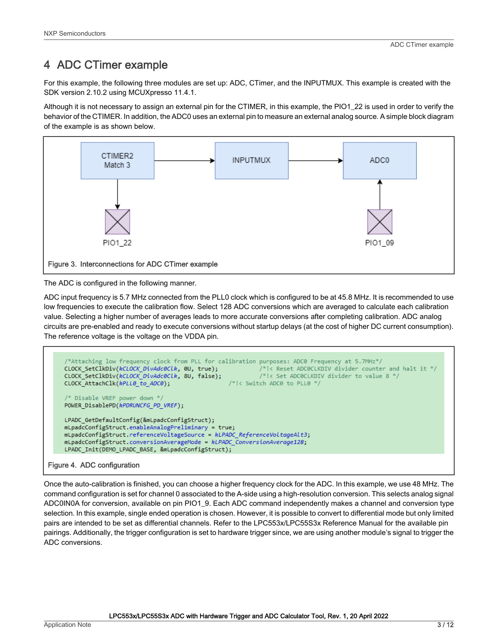## <span id="page-2-0"></span>4 ADC CTimer example

For this example, the following three modules are set up: ADC, CTimer, and the INPUTMUX. This example is created with the SDK version 2.10.2 using MCUXpresso 11.4.1.

Although it is not necessary to assign an external pin for the CTIMER, in this example, the PIO1\_22 is used in order to verify the behavior of the CTIMER. In addition, the ADC0 uses an external pin to measure an external analog source. A simple block diagram of the example is as shown below.



The ADC is configured in the following manner.

ADC input frequency is 5.7 MHz connected from the PLL0 clock which is configured to be at 45.8 MHz. It is recommended to use low frequencies to execute the calibration flow. Select 128 ADC conversions which are averaged to calculate each calibration value. Selecting a higher number of averages leads to more accurate conversions after completing calibration. ADC analog circuits are pre-enabled and ready to execute conversions without startup delays (at the cost of higher DC current consumption). The reference voltage is the voltage on the VDDA pin.



## Figure 4. ADC configuration

Once the auto-calibration is finished, you can choose a higher frequency clock for the ADC. In this example, we use 48 MHz. The command configuration is set for channel 0 associated to the A-side using a high-resolution conversion. This selects analog signal ADC0IN0A for conversion, available on pin PIO1\_9. Each ADC command independently makes a channel and conversion type selection. In this example, single ended operation is chosen. However, it is possible to convert to differential mode but only limited pairs are intended to be set as differential channels. Refer to the LPC553x/LPC55S3x Reference Manual for the available pin pairings. Additionally, the trigger configuration is set to hardware trigger since, we are using another module's signal to trigger the ADC conversions.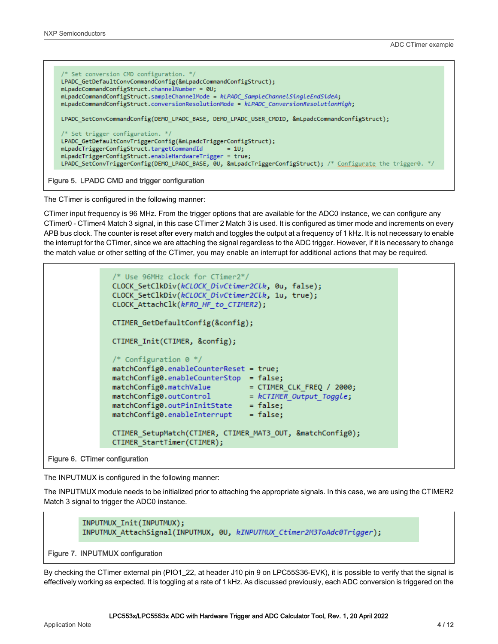```
/* Set conversion CMD configuration. */
   LPADC_GetDefaultConvCommandConfig(&mLpadcCommandConfigStruct);
   mLpadcCommandConfigStruct.channelNumber = 0U;
   mLpadcCommandConfigStruct.sampleChannelMode = kLPADC SampleChannelSingleEndSideA;
   mLpadcCommandConfigStruct.conversionResolutionMode = kLPADC_ConversionResolutionHigh;
   LPADC_SetConvCommandConfig(DEMO_LPADC_BASE, DEMO_LPADC_USER_CMDID, &mLpadcCommandConfigStruct);
   /* Set trigger configuration. */
   LPADC_GetDefaultConvTriggerConfig(&mLpadcTriggerConfigStruct);
   mLpadcTriggerConfigStruct.targetCommandId
                                                   = 10:
   mLpadcTriggerConfigStruct.enableHardwareTrigger = true;
   LPADC_SetConvTriggerConfig(DEMO_LPADC_BASE, 0U, &mLpadcTriggerConfigStruct); /* Configunate the trigger0. */
Figure 5. LPADC CMD and trigger configuration
```
The CTimer is configured in the following manner:

CTimer input frequency is 96 MHz. From the trigger options that are available for the ADC0 instance, we can configure any CTimer0 - CTimer4 Match 3 signal, in this case CTimer 2 Match 3 is used. It is configured as timer mode and increments on every APB bus clock. The counter is reset after every match and toggles the output at a frequency of 1 kHz. It is not necessary to enable the interrupt for the CTimer, since we are attaching the signal regardless to the ADC trigger. However, if it is necessary to change the match value or other setting of the CTimer, you may enable an interrupt for additional actions that may be required.

```
/* Use 96MHz clock for CTimer2*/
CLOCK SetClkDiv(kCLOCK DivCtimer2Clk, 0u, false);
CLOCK SetClkDiv(kCLOCK DivCtimer2Clk, 1u, true);
CLOCK_AttachClk(kFRO_HF_to_CTIMER2);
CTIMER GetDefaultConfig(&config);
CTIMER Init(CTIMER, &config);
/* Configuration 0 */
matchConfig0.enableCounterReset = true;
matchConfig0.enableCounterStop = false;
matchConfig0.matchValue = CTIMER_CLK_FREQ / 2000;<br>matchConfig0.outControl = kCTIMER_Output_Toggle;
matchConfig0.outPinInitState = false;matchConfig0.enableInterrupt = false;
CTIMER_SetupMatch(CTIMER, CTIMER_MAT3_OUT, &matchConfig0);
CTIMER StartTimer(CTIMER);
```
Figure 6. CTimer configuration

The INPUTMUX is configured in the following manner:

The INPUTMUX module needs to be initialized prior to attaching the appropriate signals. In this case, we are using the CTIMER2 Match 3 signal to trigger the ADC0 instance.

```
INPUTMUX Init(INPUTMUX);
INPUTMUX_AttachSignal(INPUTMUX, 0U, kINPUTMUX_Ctimer2M3ToAdc0Trigger);
```
#### Figure 7. INPUTMUX configuration

By checking the CTimer external pin (PIO1\_22, at header J10 pin 9 on LPC55S36-EVK), it is possible to verify that the signal is effectively working as expected. It is toggling at a rate of 1 kHz. As discussed previously, each ADC conversion is triggered on the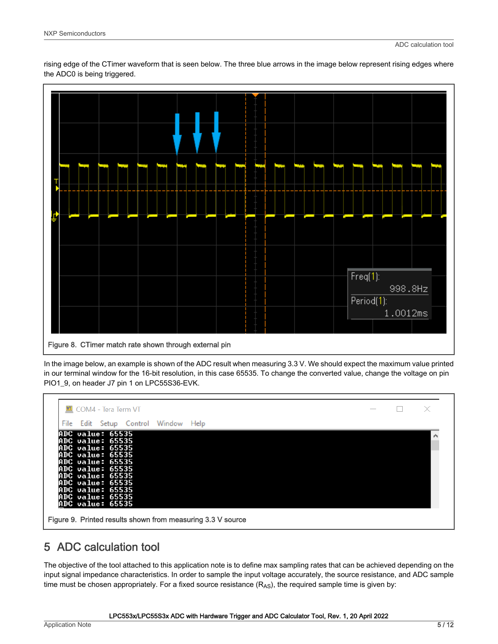<span id="page-4-0"></span>rising edge of the CTimer waveform that is seen below. The three blue arrows in the image below represent rising edges where the ADC0 is being triggered.



In the image below, an example is shown of the ADC result when measuring 3.3 V. We should expect the maximum value printed in our terminal window for the 16-bit resolution, in this case 65535. To change the converted value, change the voltage on pin PIO1\_9, on header J7 pin 1 on LPC55S36-EVK.

| ■ COM4 - Tera Term VT                                                                                                                                                                                |  |  |  |
|------------------------------------------------------------------------------------------------------------------------------------------------------------------------------------------------------|--|--|--|
| File Edit Setup Control Window Help                                                                                                                                                                  |  |  |  |
| ADC value: 65535<br>ADC value: 65535<br>ADC value: 65535<br>ADC value: 65535<br>ADC value: 65535<br>ADC value: 65535<br>ADC value: 65535<br>ADC value: 65535<br>ADC value: 65535<br>ADC value: 65535 |  |  |  |

## 5 ADC calculation tool

The objective of the tool attached to this application note is to define max sampling rates that can be achieved depending on the input signal impedance characteristics. In order to sample the input voltage accurately, the source resistance, and ADC sample time must be chosen appropriately. For a fixed source resistance  $(R_{AS})$ , the required sample time is given by: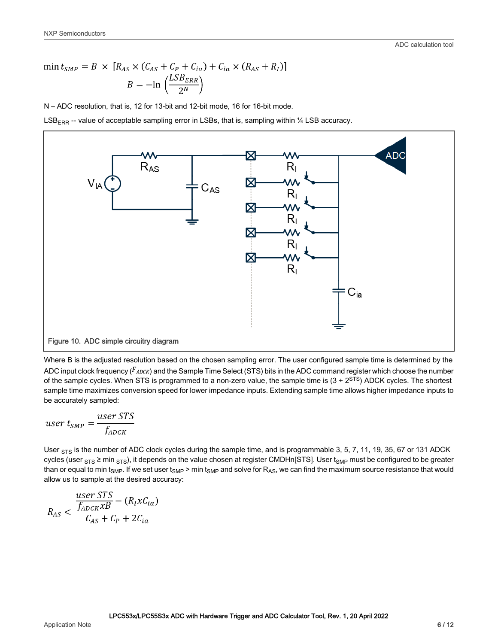$$
\min t_{SMP} = B \times [R_{AS} \times (C_{AS} + C_P + C_{ia}) + C_{ia} \times (R_{AS} + R_I)]
$$

$$
B = -\ln\left(\frac{LSB_{ERR}}{2^N}\right)
$$

N – ADC resolution, that is, 12 for 13-bit and 12-bit mode, 16 for 16-bit mode.

LSB<sub>ERR</sub> -- value of acceptable sampling error in LSBs, that is, sampling within 1/4 LSB accuracy.



Where B is the adjusted resolution based on the chosen sampling error. The user configured sample time is determined by the ADC input clock frequency ( $F_{ADCK}$ ) and the Sample Time Select (STS) bits in the ADC command register which choose the number of the sample cycles. When STS is programmed to a non-zero value, the sample time is  $(3 + 2^{STS})$  ADCK cycles. The shortest sample time maximizes conversion speed for lower impedance inputs. Extending sample time allows higher impedance inputs to be accurately sampled:

$$
user\ t_{SMP} = \frac{user\ STS}{f_{ADCK}}
$$

User  $_{\rm STS}$  is the number of ADC clock cycles during the sample time, and is programmable 3, 5, 7, 11, 19, 35, 67 or 131 ADCK cycles (user  $_{STS}$  ≥ min  $_{STS}$ ), it depends on the value chosen at register CMDHn[STS]. User t<sub>SMP</sub> must be configured to be greater than or equal to min t<sub>SMP</sub>. If we set user t<sub>SMP</sub> > min t<sub>SMP</sub> and solve for R<sub>AS</sub>, we can find the maximum source resistance that would allow us to sample at the desired accuracy:

$$
R_{AS} < \frac{\frac{\text{user STS}}{\text{f}_{ADCK} \times B} - (R_I \times C_{ia})}{C_{AS} + C_P + 2C_{ia}}
$$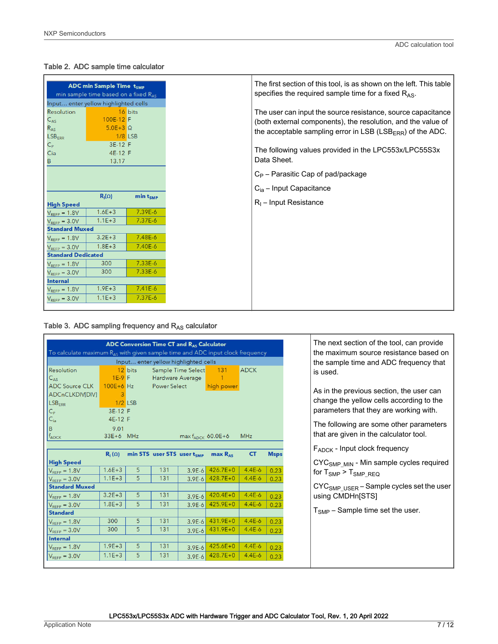#### Table 2. ADC sample time calculator

|                                                                                | <b>ADC</b> min Sample Time t <sub>SMP</sub><br>min sample time based on a fixed R <sub>AS</sub>                                    |                        | The first section of this tool, is as shown on the left. This table<br>specifies the required sample time for a fixed $R_{AS}$ .                                                                                                                                                                                      |
|--------------------------------------------------------------------------------|------------------------------------------------------------------------------------------------------------------------------------|------------------------|-----------------------------------------------------------------------------------------------------------------------------------------------------------------------------------------------------------------------------------------------------------------------------------------------------------------------|
| <b>Resolution</b><br>$C_{AS}$<br>$R_{AS}$<br>$LSB_{ERR}$<br>$C_{\rm P}$<br>Cia | Input enter yellow highlighted cells<br>16 bits<br>100E-12 F<br>$5.0E+3$ $\Omega$<br><b>1/8 LSB</b><br>3E-12 F<br>4E-12 F<br>13.17 |                        | The user can input the source resistance, source capacitance<br>(both external components), the resolution, and the value of<br>the acceptable sampling error in LSB (LSB $_{\rm{ERR}}$ ) of the ADC.<br>The following values provided in the LPC553x/LPC55S3x<br>Data Sheet.<br>$C_P$ – Parasitic Cap of pad/package |
| <b>High Speed</b>                                                              | $R_1(\Omega)$                                                                                                                      | min t <sub>SMP</sub>   | $C_{ia}$ – Input Capacitance<br>$R1$ – Input Resistance                                                                                                                                                                                                                                                               |
| $V_{REFP} = 1.8V$                                                              | $1.6E + 3$                                                                                                                         | 7.39E-6                |                                                                                                                                                                                                                                                                                                                       |
| $V_{REFP} = 3.0V$<br><b>Standard Muxed</b>                                     | $1.1E + 3$                                                                                                                         | $7.37E-6$              |                                                                                                                                                                                                                                                                                                                       |
| $V_{REFP} = 1.8V$<br>$V_{REFP} = 3.0V$                                         | $3.2E + 3$<br>$1.8E + 3$                                                                                                           | 7.48E-6<br>7.40E-6     |                                                                                                                                                                                                                                                                                                                       |
| <b>Standard Dedicated</b>                                                      |                                                                                                                                    |                        |                                                                                                                                                                                                                                                                                                                       |
| $V_{REFP} = 1.8V$                                                              | 300<br>300                                                                                                                         | $7.33E-6$<br>$7.33E-6$ |                                                                                                                                                                                                                                                                                                                       |
| $V_{REFP} = 3.0V$<br><b>Internal</b>                                           |                                                                                                                                    |                        |                                                                                                                                                                                                                                                                                                                       |
| $V_{REFP} = 1.8V$                                                              | $1.9E + 3$                                                                                                                         | $7.41E-6$              |                                                                                                                                                                                                                                                                                                                       |
| $V_{REFP} = 3.0V$                                                              | $1.1E + 3$                                                                                                                         | 7.37E-6                |                                                                                                                                                                                                                                                                                                                       |

#### Table 3. ADC sampling frequency and RAS calculator

|                                                                                           |               |           |                     | <b>ADC Conversion Time CT and R<sub>AS</sub> Calculator</b> |                                      |                                        |                                        | The next section of the tool, can provide           |
|-------------------------------------------------------------------------------------------|---------------|-----------|---------------------|-------------------------------------------------------------|--------------------------------------|----------------------------------------|----------------------------------------|-----------------------------------------------------|
| To calculate maximum R <sub>AS</sub> with given sample time and ADC input clock frequency |               |           |                     |                                                             |                                      | the maximum source resistance based on |                                        |                                                     |
| Input enter yellow highlighted cells                                                      |               |           |                     |                                                             |                                      |                                        | the sample time and ADC frequency that |                                                     |
| <b>Resolution</b>                                                                         |               | 12 bits   |                     | Sample Time Select                                          | 131                                  | <b>ADCK</b>                            |                                        | is used.                                            |
| $C_{AS}$                                                                                  | $1E-9F$       |           | Hardware Average    |                                                             |                                      |                                        |                                        |                                                     |
| <b>ADC Source CLK</b>                                                                     | 100E+6 Hz     |           | <b>Power Select</b> |                                                             | high power                           |                                        |                                        |                                                     |
| <b>ADCnCLKDIVIDIVI</b>                                                                    |               |           |                     |                                                             |                                      |                                        |                                        | As in the previous section, the user can            |
| $LSB_{\text{FRR}}$                                                                        |               | $1/2$ LSB |                     |                                                             |                                      |                                        |                                        | change the yellow cells according to the            |
| $C_{\mathsf{P}}$                                                                          | 3E-12 F       |           |                     |                                                             |                                      |                                        |                                        | parameters that they are working with.              |
| $C_{ia}$                                                                                  | 4E-12 F       |           |                     |                                                             |                                      |                                        |                                        | The following are some other parameters             |
| в                                                                                         | 9.01          |           |                     |                                                             |                                      |                                        |                                        |                                                     |
| $f_{ADC}$                                                                                 | 33E+6 MHz     |           |                     | $max f_{ADC}$ 60.0E+6                                       |                                      | <b>MHz</b>                             |                                        | that are given in the calculator tool.              |
|                                                                                           | $R_1(\Omega)$ |           |                     | min STS user STS user t <sub>SMP</sub>                      | $max$ <sub><math>R_{ac}</math></sub> | <b>CT</b>                              | <b>Msps</b>                            | $F_{ADC}$ - Input clock frequency                   |
| <b>High Speed</b>                                                                         |               |           |                     |                                                             |                                      |                                        |                                        | CYC <sub>SMP MIN</sub> - Min sample cycles required |
| $V_{\text{REEP}} = 1.8V$                                                                  | $1.6E + 3$    | 5         | 131                 | $3.9E-6$                                                    | $426.7E + 0$                         | $4.4E - 6$                             | 0.23                                   |                                                     |
| $V_{RFFP} = 3.0V$                                                                         | $1.1E + 3$    | 5         | 131                 | $3.9E-6$                                                    | $428.7E + 0$                         | $4.4E - 6$                             | 0.23                                   | for $T_{\text{SMP}}$ > $T_{\text{SMP}}$ REQ         |
| <b>Standard Muxed</b>                                                                     |               |           |                     |                                                             |                                      |                                        |                                        | $CYCSMP_USER - Sample cycles set the user$          |
| $V_{REFP} = 1.8V$                                                                         | $3.2E + 3$    | 5         | 131                 | $3.9E-6$                                                    | $420.4E + 0$                         | $4.4E - 6$                             | 0.23                                   | using CMDHn[STS]                                    |
| $V_{REFP} = 3.0V$                                                                         | $1.8E + 3$    | 5         | 131                 | $3.9E-6$                                                    | 425.9E+0                             | $4.4E - 6$                             | 0.23                                   |                                                     |
| <b>Standard</b>                                                                           |               |           |                     |                                                             |                                      |                                        |                                        | $T_{\text{SMP}}$ – Sample time set the user.        |
| $V_{RFFP} = 1.8V$                                                                         | 300           | 5         | 131                 | $3.9E-6$                                                    | 431.9E+0                             | $4.4E - 6$                             | 0.23                                   |                                                     |
| $V_{RFFP} = 3.0V$                                                                         | 300           | 5         | 131                 | $3.9E - 6$                                                  | 431.9E+0                             | $4.4E - 6$                             | 0.23                                   |                                                     |
| Internal                                                                                  |               |           |                     |                                                             |                                      |                                        |                                        |                                                     |
| $V_{RFFP} = 1.8V$                                                                         | $1.9E + 3$    | 5         | 131                 | $3.9E - 6$                                                  | 425.6E+0                             | $4.4E - 6$                             | 0.23                                   |                                                     |
| $V_{RFFP} = 3.0 V$                                                                        | $1.1E + 3$    | 5         | 131                 | $3.9E - 6$                                                  | 428.7E+0                             | $4.4E - 6$                             | 0.23                                   |                                                     |
|                                                                                           |               |           |                     |                                                             |                                      |                                        |                                        |                                                     |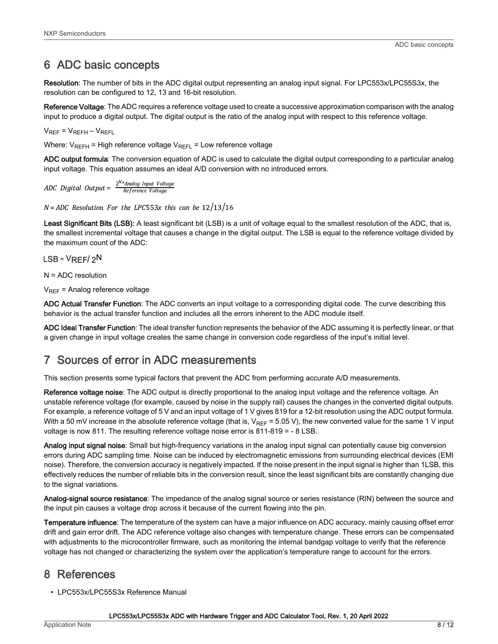## <span id="page-7-0"></span>6 ADC basic concepts

Resolution: The number of bits in the ADC digital output representing an analog input signal. For LPC553x/LPC55S3x, the resolution can be configured to 12, 13 and 16-bit resolution.

Reference Voltage: The ADC requires a reference voltage used to create a successive approximation comparison with the analog input to produce a digital output. The digital output is the ratio of the analog input with respect to this reference voltage.

 $V_{REF} = V_{REF} - V_{REF}$ 

Where:  $V_{RFFH}$  = High reference voltage  $V_{RFFI}$  = Low reference voltage

ADC output formula: The conversion equation of ADC is used to calculate the digital output corresponding to a particular analog input voltage. This equation assumes an ideal A/D conversion with no introduced errors.

ADC Digital Output =  $\frac{2^{N*}$ Analog Input Voltage

 $N = ADC$  Resolution. For the LPC553x this can be 12/13/16

Least Significant Bits (LSB): A least significant bit (LSB) is a unit of voltage equal to the smallest resolution of the ADC, that is, the smallest incremental voltage that causes a change in the digital output. The LSB is equal to the reference voltage divided by the maximum count of the ADC:

 $LSB = VREF/2<sup>N</sup>$ 

N = ADC resolution

 $V_{REF}$  = Analog reference voltage

ADC Actual Transfer Function: The ADC converts an input voltage to a corresponding digital code. The curve describing this behavior is the actual transfer function and includes all the errors inherent to the ADC module itself.

ADC Ideal Transfer Function: The ideal transfer function represents the behavior of the ADC assuming it is perfectly linear, or that a given change in input voltage creates the same change in conversion code regardless of the input's initial level.

### 7 Sources of error in ADC measurements

This section presents some typical factors that prevent the ADC from performing accurate A/D measurements.

Reference voltage noise: The ADC output is directly proportional to the analog input voltage and the reference voltage. An unstable reference voltage (for example, caused by noise in the supply rail) causes the changes in the converted digital outputs. For example, a reference voltage of 5 V and an input voltage of 1 V gives 819 for a 12-bit resolution using the ADC output formula. With a 50 mV increase in the absolute reference voltage (that is,  $V_{REF}$  = 5.05 V), the new converted value for the same 1 V input voltage is now 811. The resulting reference voltage noise error is 811-819 = - 8 LSB.

Analog input signal noise: Small but high-frequency variations in the analog input signal can potentially cause big conversion errors during ADC sampling time. Noise can be induced by electromagnetic emissions from surrounding electrical devices (EMI noise). Therefore, the conversion accuracy is negatively impacted. If the noise present in the input signal is higher than 1LSB, this effectively reduces the number of reliable bits in the conversion result, since the least significant bits are constantly changing due to the signal variations.

Analog-signal source resistance: The impedance of the analog signal source or series resistance (RIN) between the source and the input pin causes a voltage drop across it because of the current flowing into the pin.

Temperature influence: The temperature of the system can have a major influence on ADC accuracy, mainly causing offset error drift and gain error drift. The ADC reference voltage also changes with temperature change. These errors can be compensated with adjustments to the microcontroller firmware, such as monitoring the internal bandgap voltage to verify that the reference voltage has not changed or characterizing the system over the application's temperature range to account for the errors.

## 8 References

• LPC553x/LPC55S3x Reference Manual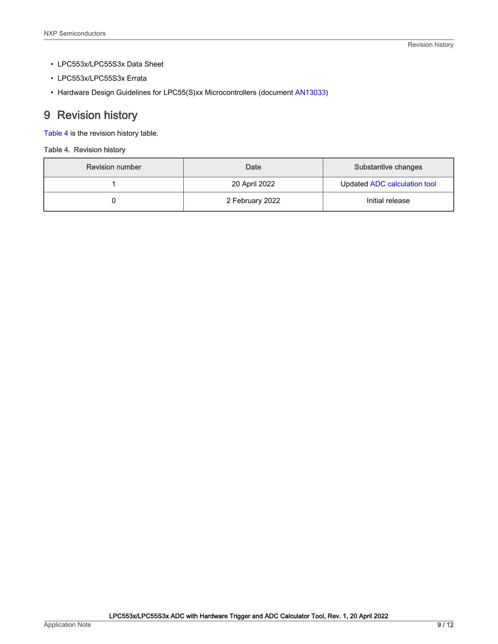- <span id="page-8-0"></span>• LPC553x/LPC55S3x Data Sheet
- LPC553x/LPC55S3x Errata
- Hardware Design Guidelines for LPC55(S)xx Microcontrollers (document [AN13033\)](https://www.nxp.com/docs/en/application-note/AN13033.pdf)

## 9 Revision history

Table 4 is the revision history table.

#### Table 4. Revision history

| <b>Revision number</b> | Date            | Substantive changes          |
|------------------------|-----------------|------------------------------|
|                        | 20 April 2022   | Updated ADC calculation tool |
|                        | 2 February 2022 | Initial release              |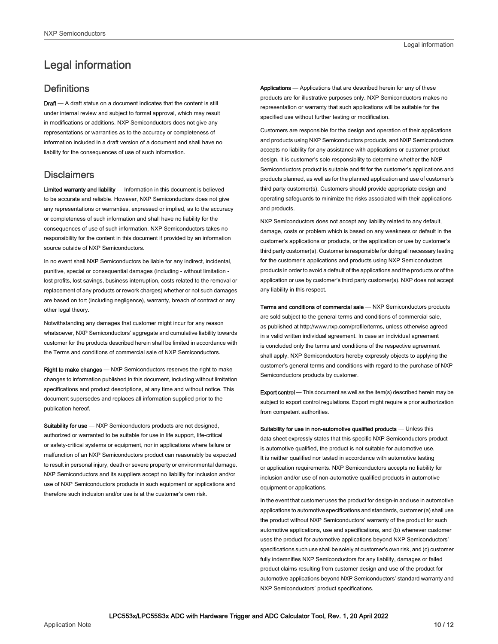## <span id="page-9-0"></span>Legal information

#### **Definitions**

Draft - A draft status on a document indicates that the content is still under internal review and subject to formal approval, which may result in modifications or additions. NXP Semiconductors does not give any representations or warranties as to the accuracy or completeness of information included in a draft version of a document and shall have no liability for the consequences of use of such information.

#### **Disclaimers**

Limited warranty and liability - Information in this document is believed to be accurate and reliable. However, NXP Semiconductors does not give any representations or warranties, expressed or implied, as to the accuracy or completeness of such information and shall have no liability for the consequences of use of such information. NXP Semiconductors takes no responsibility for the content in this document if provided by an information source outside of NXP Semiconductors.

In no event shall NXP Semiconductors be liable for any indirect, incidental, punitive, special or consequential damages (including - without limitation lost profits, lost savings, business interruption, costs related to the removal or replacement of any products or rework charges) whether or not such damages are based on tort (including negligence), warranty, breach of contract or any other legal theory.

Notwithstanding any damages that customer might incur for any reason whatsoever, NXP Semiconductors' aggregate and cumulative liability towards customer for the products described herein shall be limited in accordance with the Terms and conditions of commercial sale of NXP Semiconductors.

Right to make changes — NXP Semiconductors reserves the right to make changes to information published in this document, including without limitation specifications and product descriptions, at any time and without notice. This document supersedes and replaces all information supplied prior to the publication hereof.

Suitability for use - NXP Semiconductors products are not designed, authorized or warranted to be suitable for use in life support, life-critical or safety-critical systems or equipment, nor in applications where failure or malfunction of an NXP Semiconductors product can reasonably be expected to result in personal injury, death or severe property or environmental damage. NXP Semiconductors and its suppliers accept no liability for inclusion and/or use of NXP Semiconductors products in such equipment or applications and therefore such inclusion and/or use is at the customer's own risk.

Applications — Applications that are described herein for any of these products are for illustrative purposes only. NXP Semiconductors makes no representation or warranty that such applications will be suitable for the specified use without further testing or modification.

Customers are responsible for the design and operation of their applications and products using NXP Semiconductors products, and NXP Semiconductors accepts no liability for any assistance with applications or customer product design. It is customer's sole responsibility to determine whether the NXP Semiconductors product is suitable and fit for the customer's applications and products planned, as well as for the planned application and use of customer's third party customer(s). Customers should provide appropriate design and operating safeguards to minimize the risks associated with their applications and products.

NXP Semiconductors does not accept any liability related to any default, damage, costs or problem which is based on any weakness or default in the customer's applications or products, or the application or use by customer's third party customer(s). Customer is responsible for doing all necessary testing for the customer's applications and products using NXP Semiconductors products in order to avoid a default of the applications and the products or of the application or use by customer's third party customer(s). NXP does not accept any liability in this respect.

Terms and conditions of commercial sale — NXP Semiconductors products are sold subject to the general terms and conditions of commercial sale, as published at http://www.nxp.com/profile/terms, unless otherwise agreed in a valid written individual agreement. In case an individual agreement is concluded only the terms and conditions of the respective agreement shall apply. NXP Semiconductors hereby expressly objects to applying the customer's general terms and conditions with regard to the purchase of NXP Semiconductors products by customer.

Export control - This document as well as the item(s) described herein may be subject to export control regulations. Export might require a prior authorization from competent authorities.

Suitability for use in non-automotive qualified products - Unless this data sheet expressly states that this specific NXP Semiconductors product is automotive qualified, the product is not suitable for automotive use. It is neither qualified nor tested in accordance with automotive testing or application requirements. NXP Semiconductors accepts no liability for inclusion and/or use of non-automotive qualified products in automotive equipment or applications.

In the event that customer uses the product for design-in and use in automotive applications to automotive specifications and standards, customer (a) shall use the product without NXP Semiconductors' warranty of the product for such automotive applications, use and specifications, and (b) whenever customer uses the product for automotive applications beyond NXP Semiconductors' specifications such use shall be solely at customer's own risk, and (c) customer fully indemnifies NXP Semiconductors for any liability, damages or failed product claims resulting from customer design and use of the product for automotive applications beyond NXP Semiconductors' standard warranty and NXP Semiconductors' product specifications.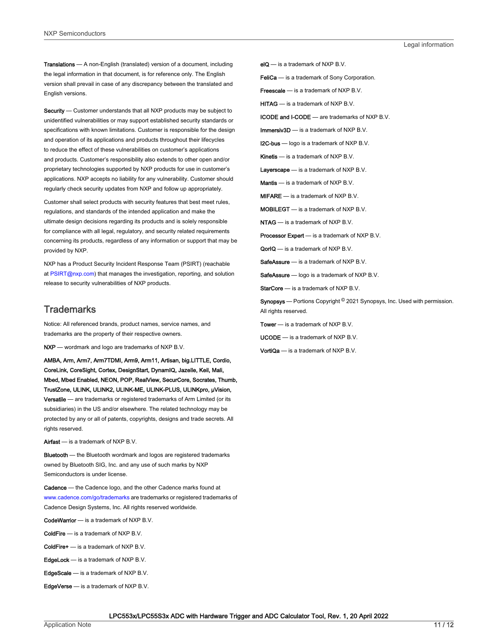Translations — A non-English (translated) version of a document, including the legal information in that document, is for reference only. The English version shall prevail in case of any discrepancy between the translated and English versions.

Security - Customer understands that all NXP products may be subject to unidentified vulnerabilities or may support established security standards or specifications with known limitations. Customer is responsible for the design and operation of its applications and products throughout their lifecycles to reduce the effect of these vulnerabilities on customer's applications and products. Customer's responsibility also extends to other open and/or proprietary technologies supported by NXP products for use in customer's applications. NXP accepts no liability for any vulnerability. Customer should regularly check security updates from NXP and follow up appropriately.

Customer shall select products with security features that best meet rules, regulations, and standards of the intended application and make the ultimate design decisions regarding its products and is solely responsible for compliance with all legal, regulatory, and security related requirements concerning its products, regardless of any information or support that may be provided by NXP.

NXP has a Product Security Incident Response Team (PSIRT) (reachable at [PSIRT@nxp.com\)](mailto:PSIRT@nxp.com) that manages the investigation, reporting, and solution release to security vulnerabilities of NXP products.

#### **Trademarks**

Notice: All referenced brands, product names, service names, and trademarks are the property of their respective owners.

NXP — wordmark and logo are trademarks of NXP B.V.

AMBA, Arm, Arm7, Arm7TDMI, Arm9, Arm11, Artisan, big.LITTLE, Cordio, CoreLink, CoreSight, Cortex, DesignStart, DynamIQ, Jazelle, Keil, Mali, Mbed, Mbed Enabled, NEON, POP, RealView, SecurCore, Socrates, Thumb, TrustZone, ULINK, ULINK2, ULINK-ME, ULINK-PLUS, ULINKpro, μVision, Versatile — are trademarks or registered trademarks of Arm Limited (or its subsidiaries) in the US and/or elsewhere. The related technology may be protected by any or all of patents, copyrights, designs and trade secrets. All rights reserved.

Airfast — is a trademark of NXP B.V.

**Bluetooth** — the Bluetooth wordmark and logos are registered trademarks owned by Bluetooth SIG, Inc. and any use of such marks by NXP Semiconductors is under license.

Cadence — the Cadence logo, and the other Cadence marks found at [www.cadence.com/go/trademarks](http://www.cadence.com/go/trademarks) are trademarks or registered trademarks of Cadence Design Systems, Inc. All rights reserved worldwide.

CodeWarrior — is a trademark of NXP B.V.

- ColdFire is a trademark of NXP B.V.
- ColdFire+ is a trademark of NXP B.V.
- EdgeLock is a trademark of NXP B.V.
- EdgeScale is a trademark of NXP B.V.
- EdgeVerse is a trademark of NXP B.V.

elQ - is a trademark of NXP B.V.

FeliCa - is a trademark of Sony Corporation.

**Freescale** — is a trademark of NXP B.V.

HITAG — is a trademark of NXP B.V.

ICODE and I-CODE — are trademarks of NXP B.V.

Immersiv3D — is a trademark of NXP B.V.

**I2C-bus** — logo is a trademark of NXP B.V.

Kinetis - is a trademark of NXP B.V.

Layerscape - is a trademark of NXP B.V.

Mantis - is a trademark of NXP B.V.

MIFARE — is a trademark of NXP B.V.

MOBILEGT — is a trademark of NXP B.V.

NTAG — is a trademark of NXP B.V.

Processor Expert - is a trademark of NXP B.V.

QorIQ - is a trademark of NXP B.V.

SafeAssure — is a trademark of NXP B.V.

SafeAssure - logo is a trademark of NXP B.V.

StarCore - is a trademark of NXP B.V.

Synopsys - Portions Copyright <sup>©</sup> 2021 Synopsys, Inc. Used with permission. All rights reserved.

Tower — is a trademark of NXP B.V.

UCODE — is a trademark of NXP B.V.

VortiQa — is a trademark of NXP B.V.